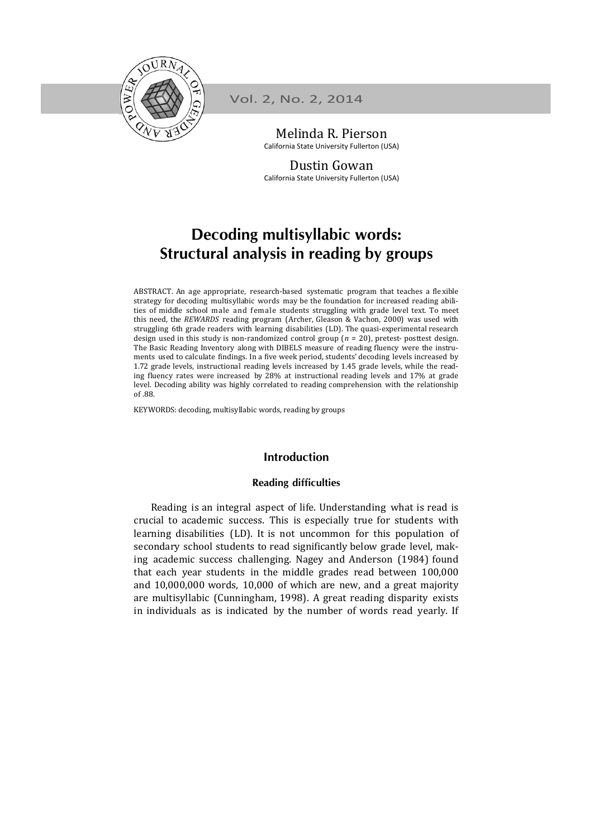

Vol. 2, No. 2, 2014

Melinda R. Pierson California State University Fullerton (USA)

Dustin Gowan California State University Fullerton (USA)

# **Decoding multisyllabic words: Structural analysis in reading by groups**

ABSTRACT. An age appropriate, research-based systematic program that teaches a flexible strategy for decoding multisyllabic words may be the foundation for increased reading abilities of middle school male and female students struggling with grade level text. To meet this need, the *REWARDS* reading program (Archer, Gleason & Vachon, 2000) was used with struggling 6th grade readers with learning disabilities (LD). The quasi-experimental research design used in this study is non-randomized control group  $(n = 20)$ , pretest- posttest design. The Basic Reading Inventory along with DIBELS measure of reading fluency were the instruments used to calculate findings. In a five week period, students' decoding levels increased by 1.72 grade levels, instructional reading levels increased by 1.45 grade levels, while the reading fluency rates were increased by  $28\%$  at instructional reading levels and  $17\%$  at grade level. Decoding ability was highly correlated to reading comprehension with the relationship of .88.

KEYWORDS: decoding, multisyllabic words, reading by groups

## **Introduction**

## **Reading difficulties**

Reading is an integral aspect of life. Understanding what is read is crucial to academic success. This is especially true for students with learning disabilities (LD). It is not uncommon for this population of secondary school students to read significantly below grade level, making academic success challenging. Nagey and Anderson (1984) found that each year students in the middle grades read between 100,000 and  $10,000,000$  words,  $10,000$  of which are new, and a great majority are multisyllabic (Cunningham, 1998). A great reading disparity exists in individuals as is indicated by the number of words read yearly. If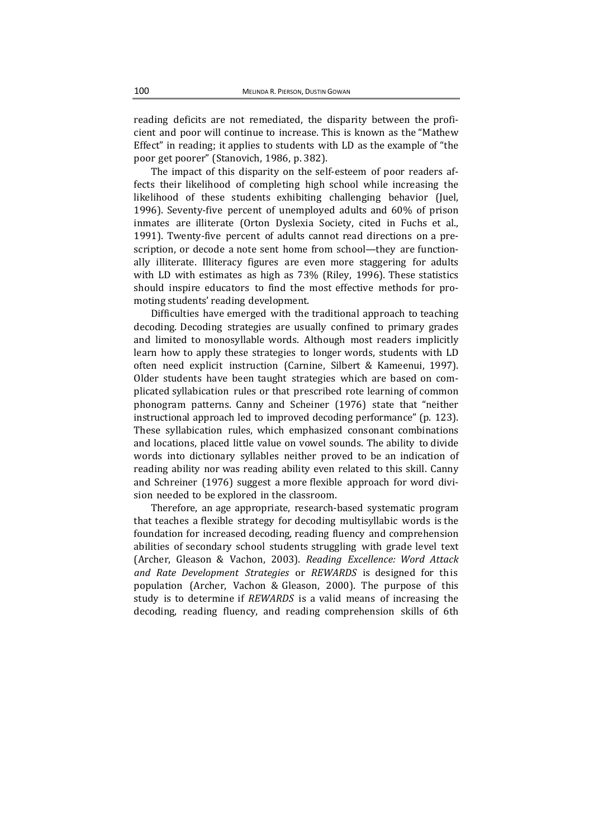reading deficits are not remediated, the disparity between the proficient and poor will continue to increase. This is known as the "Mathew Effect" in reading; it applies to students with LD as the example of "the poor get poorer" (Stanovich, 1986, p. 382).

The impact of this disparity on the self-esteem of poor readers affects their likelihood of completing high school while increasing the likelihood of these students exhibiting challenging behavior (Juel, 1996). Seventy-five percent of unemployed adults and 60% of prison inmates are illiterate (Orton Dyslexia Society, cited in Fuchs et al., 1991). Twenty-five percent of adults cannot read directions on a prescription, or decode a note sent home from school—they are functionally illiterate. Illiteracy figures are even more staggering for adults with LD with estimates as high as 73% (Riley, 1996). These statistics should inspire educators to find the most effective methods for promoting students' reading development.

Difficulties have emerged with the traditional approach to teaching decoding. Decoding strategies are usually confined to primary grades and limited to monosyllable words. Although most readers implicitly learn how to apply these strategies to longer words, students with LD often need explicit instruction (Carnine, Silbert & Kameenui, 1997). Older students have been taught strategies which are based on complicated syllabication rules or that prescribed rote learning of common phonogram patterns. Canny and Scheiner (1976) state that "neither instructional approach led to improved decoding performance" (p. 123). These syllabication rules, which emphasized consonant combinations and locations, placed little value on vowel sounds. The ability to divide words into dictionary syllables neither proved to be an indication of reading ability nor was reading ability even related to this skill. Canny and Schreiner (1976) suggest a more flexible approach for word division needed to be explored in the classroom.

Therefore, an age appropriate, research-based systematic program that teaches a flexible strategy for decoding multisyllabic words is the foundation for increased decoding, reading fluency and comprehension abilities of secondary school students struggling with grade level text (Archer, Gleason & Vachon, 2003). *Reading Excellence: Word Attack and Rate Development Strategies* or *REWARDS* is designed for this population (Archer, Vachon & Gleason, 2000). The purpose of this study is to determine if *REWARDS* is a valid means of increasing the decoding, reading fluency, and reading comprehension skills of 6th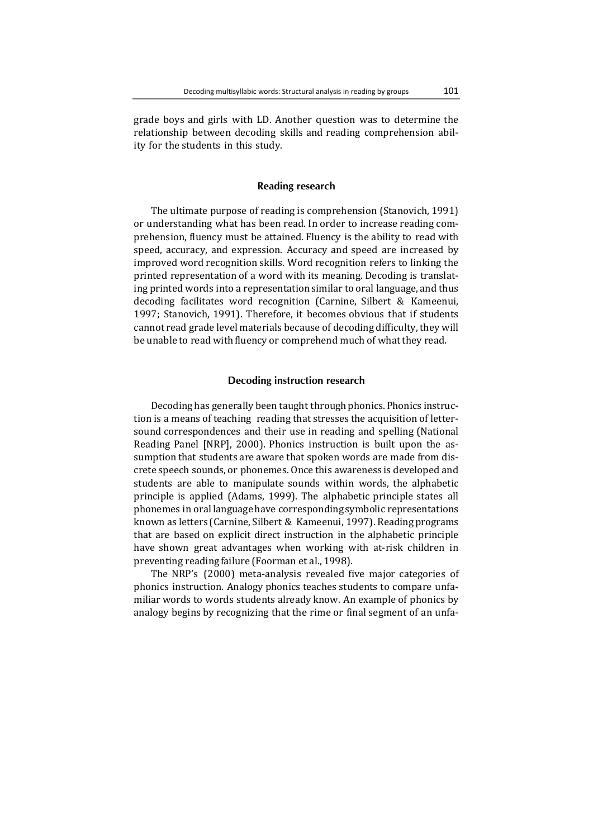grade boys and girls with LD. Another question was to determine the relationship between decoding skills and reading comprehension ability for the students in this study.

## **Reading research**

The ultimate purpose of reading is comprehension (Stanovich, 1991) or understanding what has been read. In order to increase reading comprehension, fluency must be attained. Fluency is the ability to read with speed, accuracy, and expression. Accuracy and speed are increased by improved word recognition skills. Word recognition refers to linking the printed representation of a word with its meaning. Decoding is translating printed words into a representation similar to oral language, and thus decoding facilitates word recognition (Carnine, Silbert & Kameenui, 1997; Stanovich, 1991). Therefore, it becomes obvious that if students cannot read grade level materials because of decoding difficulty, they will be unable to read with fluency or comprehend much of what they read.

#### **Decoding instruction research**

Decoding has generally been taught through phonics. Phonics instruction is a means of teaching reading that stresses the acquisition of lettersound correspondences and their use in reading and spelling (National Reading Panel [NRP], 2000). Phonics instruction is built upon the assumption that students are aware that spoken words are made from discrete speech sounds, or phonemes. Once this awareness is developed and students are able to manipulate sounds within words, the alphabetic principle is applied (Adams, 1999). The alphabetic principle states all phonemes in oral language have corresponding symbolic representations known as letters (Carnine, Silbert & Kameenui, 1997). Reading programs that are based on explicit direct instruction in the alphabetic principle have shown great advantages when working with at-risk children in preventing reading failure (Foorman et al., 1998).

The NRP's (2000) meta-analysis revealed five major categories of phonics instruction. Analogy phonics teaches students to compare unfamiliar words to words students already know. An example of phonics by analogy begins by recognizing that the rime or final segment of an unfa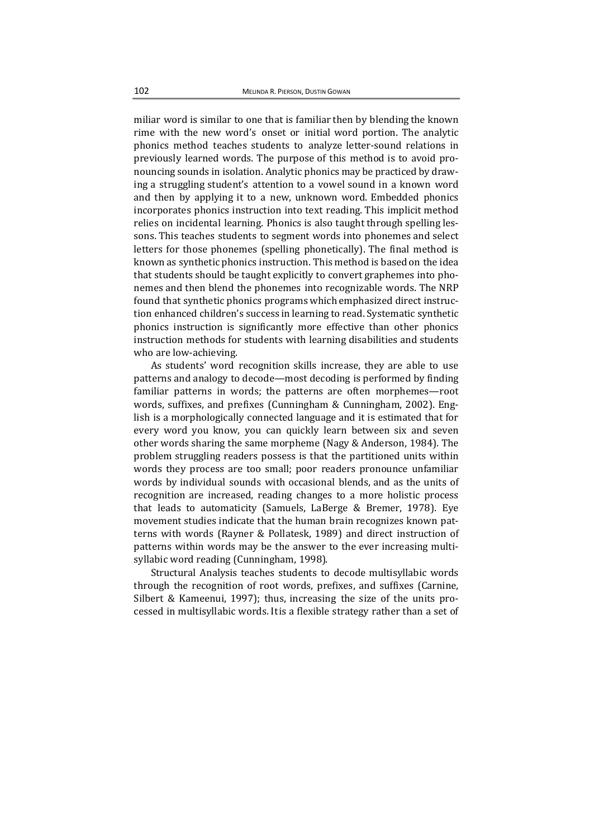miliar word is similar to one that is familiar then by blending the known rime with the new word's onset or initial word portion. The analytic phonics method teaches students to analyze letter-sound relations in previously learned words. The purpose of this method is to avoid pronouncing sounds in isolation. Analytic phonics may be practiced by drawing a struggling student's attention to a vowel sound in a known word and then by applying it to a new, unknown word. Embedded phonics incorporates phonics instruction into text reading. This implicit method relies on incidental learning. Phonics is also taught through spelling lessons. This teaches students to segment words into phonemes and select letters for those phonemes (spelling phonetically). The final method is known as synthetic phonics instruction. This method is based on the idea that students should be taught explicitly to convert graphemes into phonemes and then blend the phonemes into recognizable words. The NRP found that synthetic phonics programs which emphasized direct instruction enhanced children's success in learning to read. Systematic synthetic phonics instruction is significantly more effective than other phonics instruction methods for students with learning disabilities and students who are low-achieving.

As students' word recognition skills increase, they are able to use patterns and analogy to decode—most decoding is performed by finding familiar patterns in words; the patterns are often morphemes—root words, suffixes, and prefixes (Cunningham & Cunningham, 2002). English is a morphologically connected language and it is estimated that for every word you know, you can quickly learn between six and seven other words sharing the same morpheme (Nagy  $&$  Anderson, 1984). The problem struggling readers possess is that the partitioned units within words they process are too small; poor readers pronounce unfamiliar words by individual sounds with occasional blends, and as the units of recognition are increased, reading changes to a more holistic process that leads to automaticity (Samuels, LaBerge  $&$  Bremer, 1978). Eve movement studies indicate that the human brain recognizes known patterns with words (Rayner & Pollatesk, 1989) and direct instruction of patterns within words may be the answer to the ever increasing multisyllabic word reading (Cunningham, 1998).

Structural Analysis teaches students to decode multisyllabic words through the recognition of root words, prefixes, and suffixes (Carnine, Silbert & Kameenui, 1997); thus, increasing the size of the units processed in multisyllabic words. It is a flexible strategy rather than a set of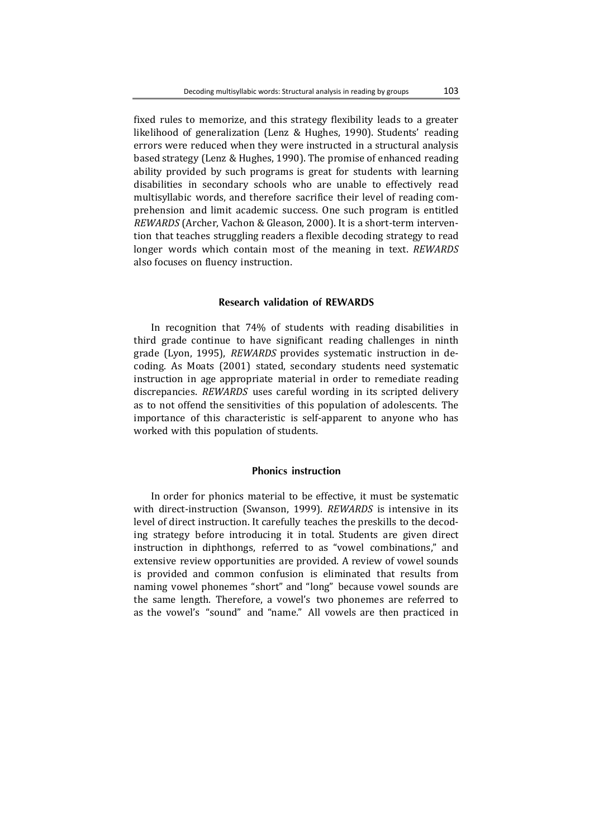fixed rules to memorize, and this strategy flexibility leads to a greater likelihood of generalization (Lenz & Hughes, 1990). Students' reading errors were reduced when they were instructed in a structural analysis based strategy (Lenz & Hughes, 1990). The promise of enhanced reading ability provided by such programs is great for students with learning disabilities in secondary schools who are unable to effectively read multisyllabic words, and therefore sacrifice their level of reading comprehension and limit academic success. One such program is entitled *REWARDS* (Archer, Vachon & Gleason, 2000). It is a short-term intervention that teaches struggling readers a flexible decoding strategy to read longer words which contain most of the meaning in text. *REWARDS* also focuses on fluency instruction.

## **Research validation of REWARDS**

In recognition that 74% of students with reading disabilities in third grade continue to have significant reading challenges in ninth grade (Lyon, 1995), *REWARDS* provides systematic instruction in decoding. As Moats (2001) stated, secondary students need systematic instruction in age appropriate material in order to remediate reading discrepancies. *REWARDS* uses careful wording in its scripted delivery as to not offend the sensitivities of this population of adolescents. The importance of this characteristic is self-apparent to anyone who has worked with this population of students.

## **Phonics instruction**

In order for phonics material to be effective, it must be systematic with direct-instruction (Swanson, 1999). *REWARDS* is intensive in its level of direct instruction. It carefully teaches the preskills to the decoding strategy before introducing it in total. Students are given direct instruction in diphthongs, referred to as "vowel combinations," and extensive review opportunities are provided. A review of vowel sounds is provided and common confusion is eliminated that results from naming vowel phonemes "short" and "long" because vowel sounds are the same length. Therefore, a vowel's two phonemes are referred to as the vowel's "sound" and "name." All vowels are then practiced in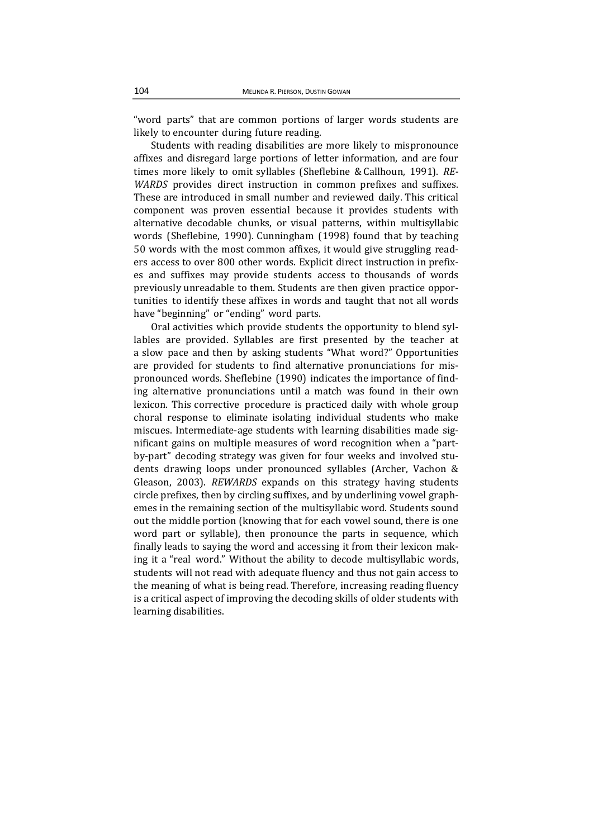"word parts" that are common portions of larger words students are likely to encounter during future reading.

Students with reading disabilities are more likely to mispronounce affixes and disregard large portions of letter information, and are four times more likely to omit syllables (Sheflebine & Callhoun, 1991). *RE*-*WARDS* provides direct instruction in common prefixes and suffixes. These are introduced in small number and reviewed daily. This critical component was proven essential because it provides students with alternative decodable chunks, or visual patterns, within multisyllabic words (Sheflebine, 1990). Cunningham (1998) found that by teaching 50 words with the most common affixes, it would give struggling readers access to over 800 other words. Explicit direct instruction in prefixes and suffixes may provide students access to thousands of words previously unreadable to them. Students are then given practice opportunities to identify these affixes in words and taught that not all words have "beginning" or "ending" word parts.

Oral activities which provide students the opportunity to blend syllables are provided. Syllables are first presented by the teacher at a slow pace and then by asking students "What word?" Opportunities are provided for students to find alternative pronunciations for mispronounced words. Sheflebine (1990) indicates the importance of finding alternative pronunciations until a match was found in their own lexicon. This corrective procedure is practiced daily with whole group choral response to eliminate isolating individual students who make miscues. Intermediate-age students with learning disabilities made significant gains on multiple measures of word recognition when a "partby-part" decoding strategy was given for four weeks and involved students drawing loops under pronounced syllables (Archer, Vachon & Gleason, 2003). *REWARDS* expands on this strategy having students circle prefixes, then by circling suffixes, and by underlining vowel graphemes in the remaining section of the multisyllabic word. Students sound out the middle portion (knowing that for each vowel sound, there is one word part or syllable), then pronounce the parts in sequence, which finally leads to saying the word and accessing it from their lexicon making it a "real word." Without the ability to decode multisyllabic words, students will not read with adequate fluency and thus not gain access to the meaning of what is being read. Therefore, increasing reading fluency is a critical aspect of improving the decoding skills of older students with learning disabilities.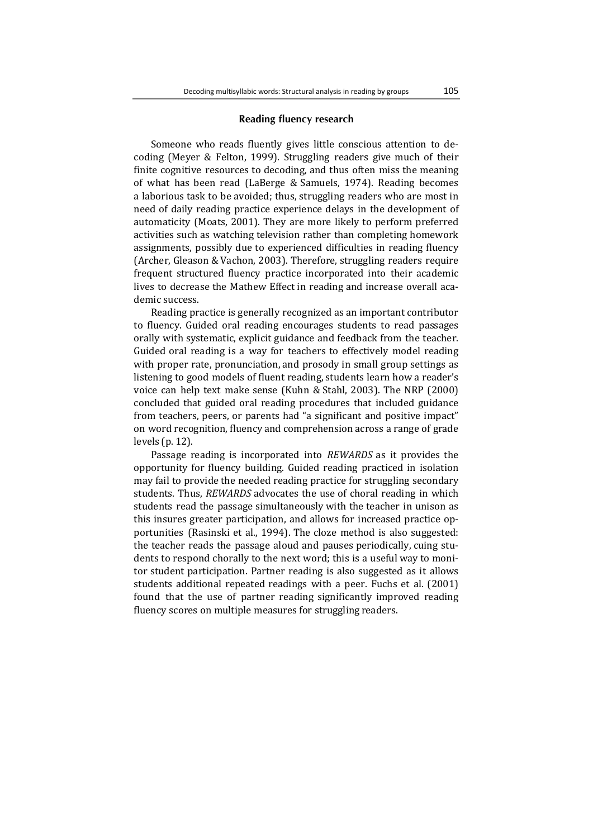#### **Reading fluency research**

Someone who reads fluently gives little conscious attention to decoding (Meyer & Felton, 1999). Struggling readers give much of their finite cognitive resources to decoding, and thus often miss the meaning of what has been read (LaBerge & Samuels, 1974). Reading becomes a laborious task to be avoided; thus, struggling readers who are most in need of daily reading practice experience delays in the development of automaticity (Moats, 2001). They are more likely to perform preferred activities such as watching television rather than completing homework assignments, possibly due to experienced difficulties in reading fluency (Archer, Gleason & Vachon, 2003). Therefore, struggling readers require frequent structured fluency practice incorporated into their academic lives to decrease the Mathew Effect in reading and increase overall academic success.

Reading practice is generally recognized as an important contributor to fluency. Guided oral reading encourages students to read passages orally with systematic, explicit guidance and feedback from the teacher. Guided oral reading is a way for teachers to effectively model reading with proper rate, pronunciation, and prosody in small group settings as listening to good models of fluent reading, students learn how a reader's voice can help text make sense (Kuhn & Stahl, 2003). The NRP (2000) concluded that guided oral reading procedures that included guidance from teachers, peers, or parents had "a significant and positive impact" on word recognition, fluency and comprehension across a range of grade levels  $(p. 12)$ .

Passage reading is incorporated into *REWARDS* as it provides the opportunity for fluency building. Guided reading practiced in isolation may fail to provide the needed reading practice for struggling secondary students. Thus, *REWARDS* advocates the use of choral reading in which students read the passage simultaneously with the teacher in unison as this insures greater participation, and allows for increased practice opportunities (Rasinski et al., 1994). The cloze method is also suggested: the teacher reads the passage aloud and pauses periodically, cuing students to respond chorally to the next word; this is a useful way to monitor student participation. Partner reading is also suggested as it allows students additional repeated readings with a peer. Fuchs et al. (2001) found that the use of partner reading significantly improved reading fluency scores on multiple measures for struggling readers.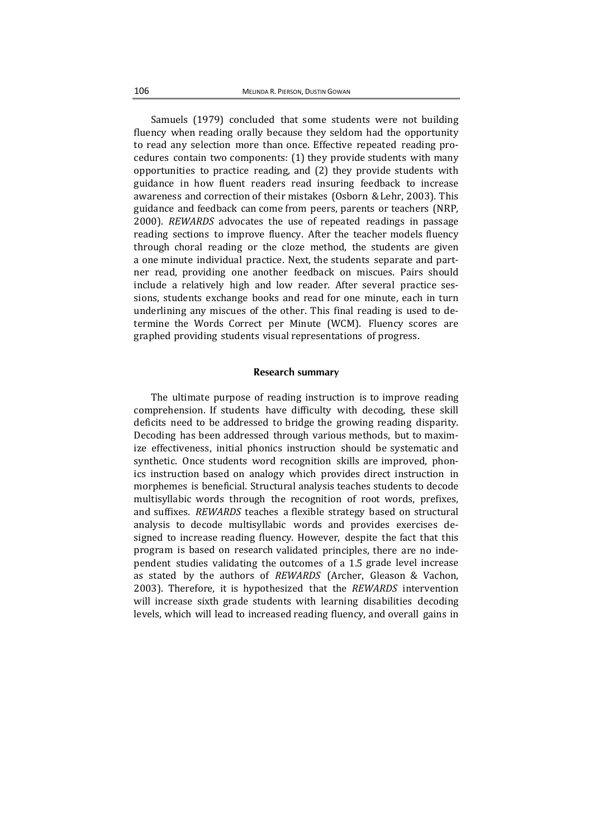Samuels (1979) concluded that some students were not building fluency when reading orally because they seldom had the opportunity to read any selection more than once. Effective repeated reading procedures contain two components:  $(1)$  they provide students with many opportunities to practice reading, and  $(2)$  they provide students with guidance in how fluent readers read insuring feedback to increase awareness and correction of their mistakes (Osborn & Lehr, 2003). This guidance and feedback can come from peers, parents or teachers (NRP, 2000). *REWARDS* advocates the use of repeated readings in passage reading sections to improve fluency. After the teacher models fluency through choral reading or the cloze method, the students are given a one minute individual practice. Next, the students separate and partner read, providing one another feedback on miscues. Pairs should include a relatively high and low reader. After several practice sessions, students exchange books and read for one minute, each in turn underlining any miscues of the other. This final reading is used to determine the Words Correct per Minute (WCM). Fluency scores are graphed providing students visual representations of progress.

#### **Research summary**

The ultimate purpose of reading instruction is to improve reading comprehension. If students have difficulty with decoding, these skill deficits need to be addressed to bridge the growing reading disparity. Decoding has been addressed through various methods, but to maximize effectiveness, initial phonics instruction should be systematic and synthetic. Once students word recognition skills are improved, phonics instruction based on analogy which provides direct instruction in morphemes is beneficial. Structural analysis teaches students to decode multisyllabic words through the recognition of root words, prefixes, and suffixes. *REWARDS* teaches a flexible strategy based on structural analysis to decode multisyllabic words and provides exercises designed to increase reading fluency. However, despite the fact that this program is based on research validated principles, there are no independent studies validating the outcomes of a 1.5 grade level increase as stated by the authors of *REWARDS* (Archer, Gleason & Vachon, 2003). Therefore, it is hypothesized that the *REWARDS* intervention will increase sixth grade students with learning disabilities decoding levels, which will lead to increased reading fluency, and overall gains in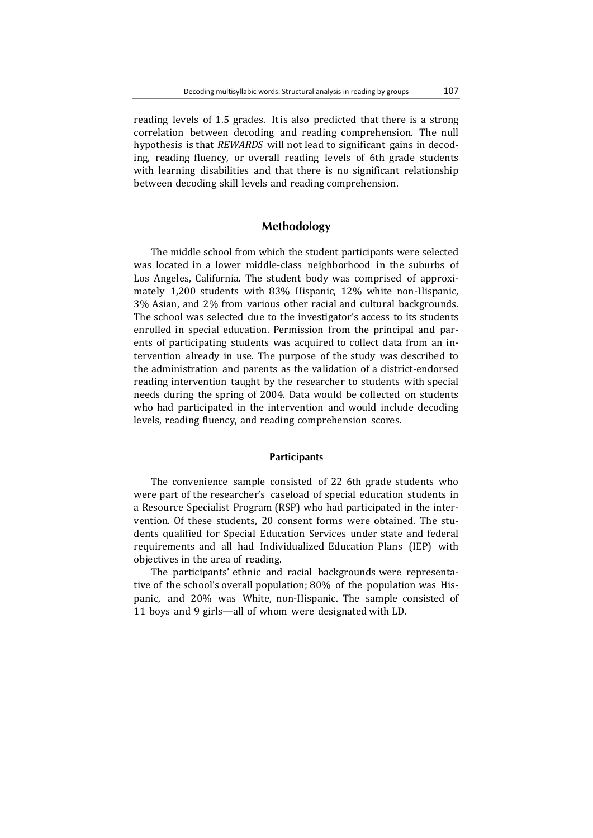reading levels of 1.5 grades. It is also predicted that there is a strong correlation between decoding and reading comprehension. The null hypothesis is that *REWARDS* will not lead to significant gains in decoding, reading fluency, or overall reading levels of 6th grade students with learning disabilities and that there is no significant relationship between decoding skill levels and reading comprehension.

## **Methodology**

The middle school from which the student participants were selected was located in a lower middle-class neighborhood in the suburbs of Los Angeles, California. The student body was comprised of approximately 1,200 students with 83% Hispanic, 12% white non-Hispanic, 3% Asian, and 2% from various other racial and cultural backgrounds. The school was selected due to the investigator's access to its students enrolled in special education. Permission from the principal and parents of participating students was acquired to collect data from an intervention already in use. The purpose of the study was described to the administration and parents as the validation of a district-endorsed reading intervention taught by the researcher to students with special needs during the spring of 2004. Data would be collected on students who had participated in the intervention and would include decoding levels, reading fluency, and reading comprehension scores.

#### **Participants**

The convenience sample consisted of 22 6th grade students who were part of the researcher's caseload of special education students in a Resource Specialist Program (RSP) who had participated in the intervention. Of these students, 20 consent forms were obtained. The students qualified for Special Education Services under state and federal requirements and all had Individualized Education Plans (IEP) with objectives in the area of reading.

The participants' ethnic and racial backgrounds were representative of the school's overall population; 80% of the population was Hispanic, and 20% was White, non-Hispanic. The sample consisted of 11 boys and 9 girls—all of whom were designated with LD.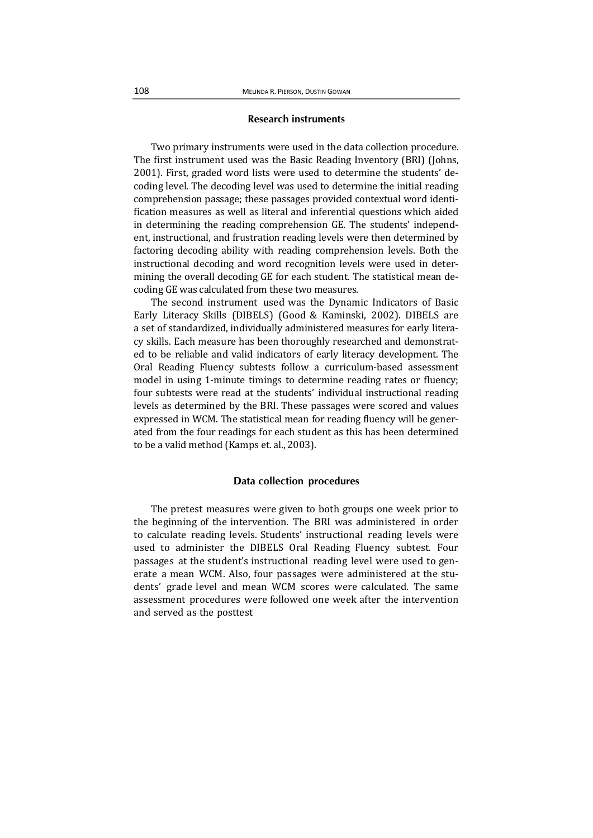## **Research instruments**

Two primary instruments were used in the data collection procedure. The first instrument used was the Basic Reading Inventory (BRI) (Johns, 2001). First, graded word lists were used to determine the students' decoding level. The decoding level was used to determine the initial reading comprehension passage; these passages provided contextual word identification measures as well as literal and inferential questions which aided in determining the reading comprehension GE. The students' independent, instructional, and frustration reading levels were then determined by factoring decoding ability with reading comprehension levels. Both the instructional decoding and word recognition levels were used in determining the overall decoding GE for each student. The statistical mean decoding GE was calculated from these two measures.

The second instrument used was the Dynamic Indicators of Basic Early Literacy Skills (DIBELS) (Good & Kaminski, 2002). DIBELS are a set of standardized, individually administered measures for early literacy skills. Each measure has been thoroughly researched and demonstrated to be reliable and valid indicators of early literacy development. The Oral Reading Fluency subtests follow a curriculum-based assessment model in using 1-minute timings to determine reading rates or fluency; four subtests were read at the students' individual instructional reading levels as determined by the BRI. These passages were scored and values expressed in WCM. The statistical mean for reading fluency will be generated from the four readings for each student as this has been determined to be a valid method (Kamps et. al., 2003).

#### **Data collection procedures**

The pretest measures were given to both groups one week prior to the beginning of the intervention. The BRI was administered in order to calculate reading levels. Students' instructional reading levels were used to administer the DIBELS Oral Reading Fluency subtest. Four passages at the student's instructional reading level were used to generate a mean WCM. Also, four passages were administered at the students' grade level and mean WCM scores were calculated. The same assessment procedures were followed one week after the intervention and served as the posttest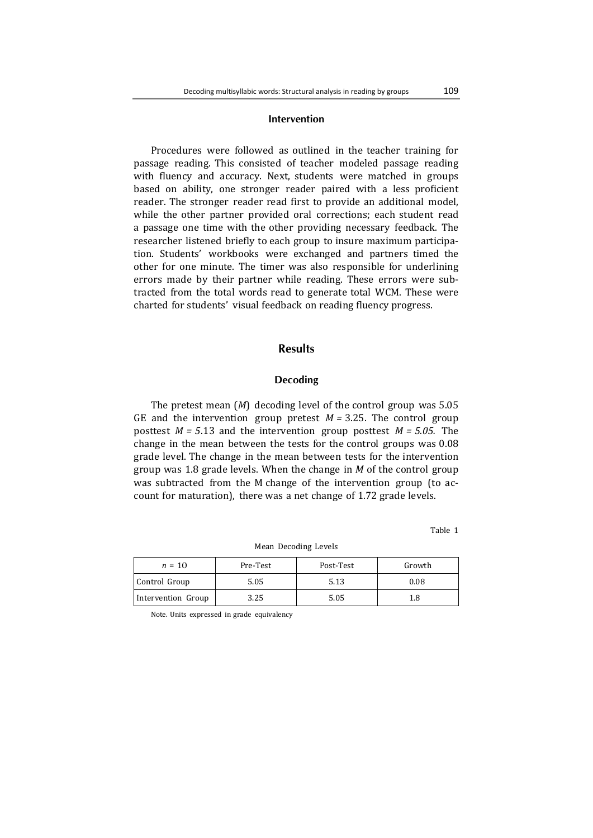## **Intervention**

Procedures were followed as outlined in the teacher training for passage reading. This consisted of teacher modeled passage reading with fluency and accuracy. Next, students were matched in groups based on ability, one stronger reader paired with a less proficient reader. The stronger reader read first to provide an additional model, while the other partner provided oral corrections; each student read a passage one time with the other providing necessary feedback. The researcher listened briefly to each group to insure maximum participation. Students' workbooks were exchanged and partners timed the other for one minute. The timer was also responsible for underlining errors made by their partner while reading. These errors were subtracted from the total words read to generate total WCM. These were charted for students' visual feedback on reading fluency progress.

## **Results**

#### **Decoding**

The pretest mean  $(M)$  decoding level of the control group was 5.05 GE and the intervention group pretest  $M = 3.25$ . The control group posttest  $M = 5.13$  and the intervention group posttest  $M = 5.05$ . The change in the mean between the tests for the control groups was 0.08 grade level. The change in the mean between tests for the intervention group was 1.8 grade levels. When the change in *M* of the control group was subtracted from the M change of the intervention group (to account for maturation), there was a net change of 1.72 grade levels.

Table 1

| $n = 10$           | Pre-Test | Post-Test | Growth |
|--------------------|----------|-----------|--------|
| Control Group      | 5.05     | 5.13      | 0.08   |
| Intervention Group | 3.25     | 5.05      | 1.8    |

Mean Decoding Levels 

Note. Units expressed in grade equivalency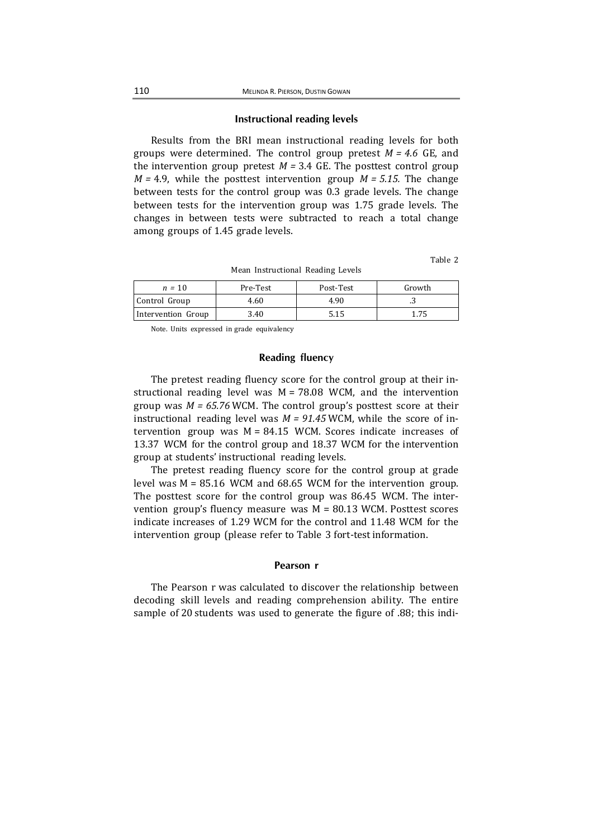#### **Instructional reading levels**

Results from the BRI mean instructional reading levels for both groups were determined. The control group pretest  $M = 4.6$  GE, and the intervention group pretest  $M = 3.4$  GE. The posttest control group  $M = 4.9$ , while the posttest intervention group  $M = 5.15$ . The change between tests for the control group was 0.3 grade levels. The change between tests for the intervention group was 1.75 grade levels. The changes in between tests were subtracted to reach a total change among groups of 1.45 grade levels.

Table 2

| $n = 10$           | Pre-Test | Post-Test | Growth |
|--------------------|----------|-----------|--------|
| Control Group      | 4.60     | 4.90      | ر.,    |
| Intervention Group | 3.40     | 5.15      | 1.75   |

Mean Instructional Reading Levels

Note. Units expressed in grade equivalency

## **Reading fluency**

The pretest reading fluency score for the control group at their instructional reading level was  $M = 78.08$  WCM, and the intervention group was  $M = 65.76$  WCM. The control group's posttest score at their instructional reading level was  $M = 91.45$  WCM, while the score of intervention group was  $M = 84.15$  WCM. Scores indicate increases of 13.37 WCM for the control group and 18.37 WCM for the intervention group at students' instructional reading levels.

The pretest reading fluency score for the control group at grade level was  $M = 85.16$  WCM and 68.65 WCM for the intervention group. The posttest score for the control group was 86.45 WCM. The intervention group's fluency measure was  $M = 80.13$  WCM. Posttest scores indicate increases of 1.29 WCM for the control and 11.48 WCM for the intervention group (please refer to Table 3 fort-test information.

#### **Pearson r**

The Pearson r was calculated to discover the relationship between decoding skill levels and reading comprehension ability. The entire sample of 20 students was used to generate the figure of .88; this indi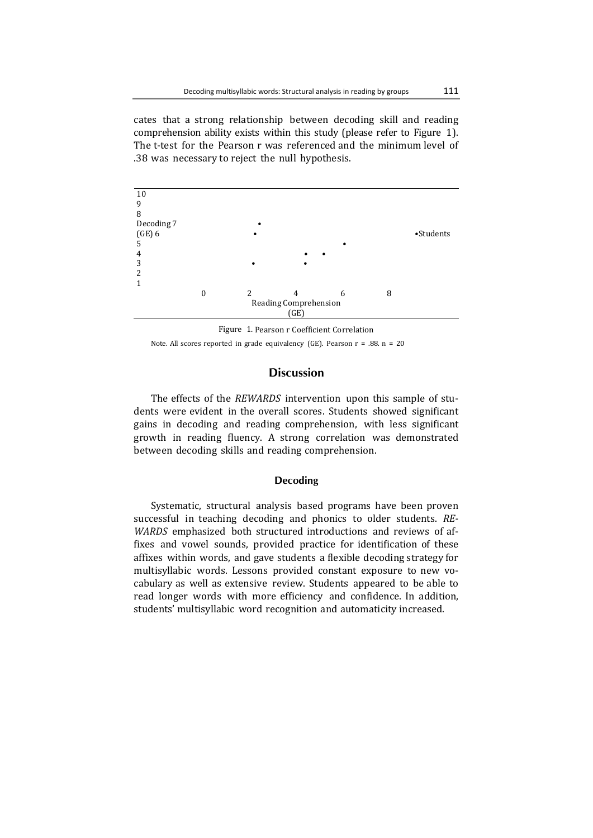cates that a strong relationship between decoding skill and reading comprehension ability exists within this study (please refer to Figure 1). The t-test for the Pearson r was referenced and the minimum level of .38 was necessary to reject the null hypothesis.



Figure 1. Pearson r Coefficient Correlation Note. All scores reported in grade equivalency (GE). Pearson  $r = .88$ .  $n = 20$ 

# **Discussion**

The effects of the *REWARDS* intervention upon this sample of students were evident in the overall scores. Students showed significant gains in decoding and reading comprehension, with less significant growth in reading fluency. A strong correlation was demonstrated between decoding skills and reading comprehension.

## **Decoding**

Systematic, structural analysis based programs have been proven successful in teaching decoding and phonics to older students. *RE*-*WARDS* emphasized both structured introductions and reviews of affixes and vowel sounds, provided practice for identification of these affixes within words, and gave students a flexible decoding strategy for multisyllabic words. Lessons provided constant exposure to new vocabulary as well as extensive review. Students appeared to be able to read longer words with more efficiency and confidence. In addition, students' multisyllabic word recognition and automaticity increased.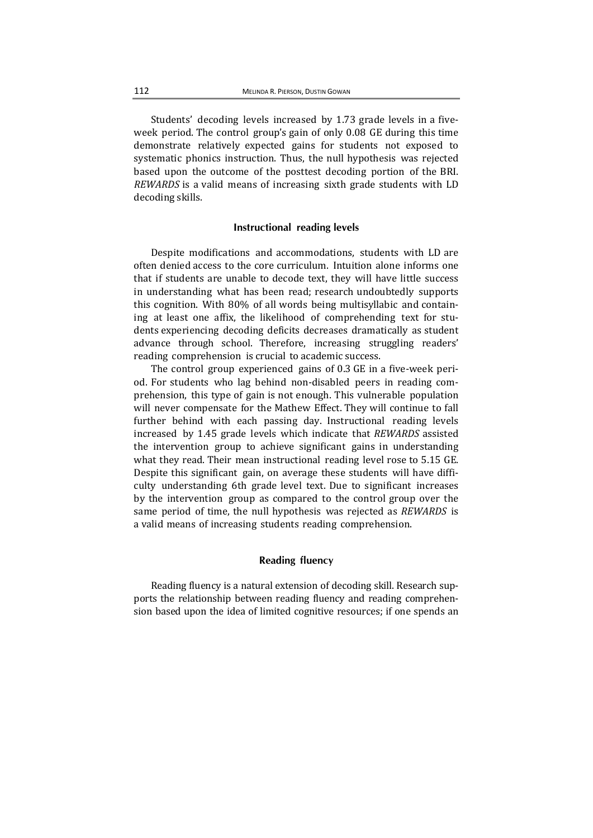Students' decoding levels increased by 1.73 grade levels in a fiveweek period. The control group's gain of only 0.08 GE during this time demonstrate relatively expected gains for students not exposed to systematic phonics instruction. Thus, the null hypothesis was rejected based upon the outcome of the posttest decoding portion of the BRI. *REWARDS* is a valid means of increasing sixth grade students with LD decoding skills.

#### **Instructional reading levels**

Despite modifications and accommodations, students with LD are often denied access to the core curriculum. Intuition alone informs one that if students are unable to decode text, they will have little success in understanding what has been read; research undoubtedly supports this cognition. With 80% of all words being multisyllabic and containing at least one affix, the likelihood of comprehending text for students experiencing decoding deficits decreases dramatically as student advance through school. Therefore, increasing struggling readers' reading comprehension is crucial to academic success.

The control group experienced gains of  $0.3$  GE in a five-week period. For students who lag behind non-disabled peers in reading comprehension, this type of gain is not enough. This vulnerable population will never compensate for the Mathew Effect. They will continue to fall further behind with each passing day. Instructional reading levels increased by 1.45 grade levels which indicate that *REWARDS* assisted the intervention group to achieve significant gains in understanding what they read. Their mean instructional reading level rose to 5.15 GE. Despite this significant gain, on average these students will have difficulty understanding 6th grade level text. Due to significant increases by the intervention group as compared to the control group over the same period of time, the null hypothesis was rejected as *REWARDS* is a valid means of increasing students reading comprehension.

## **Reading fluency**

Reading fluency is a natural extension of decoding skill. Research supports the relationship between reading fluency and reading comprehension based upon the idea of limited cognitive resources; if one spends an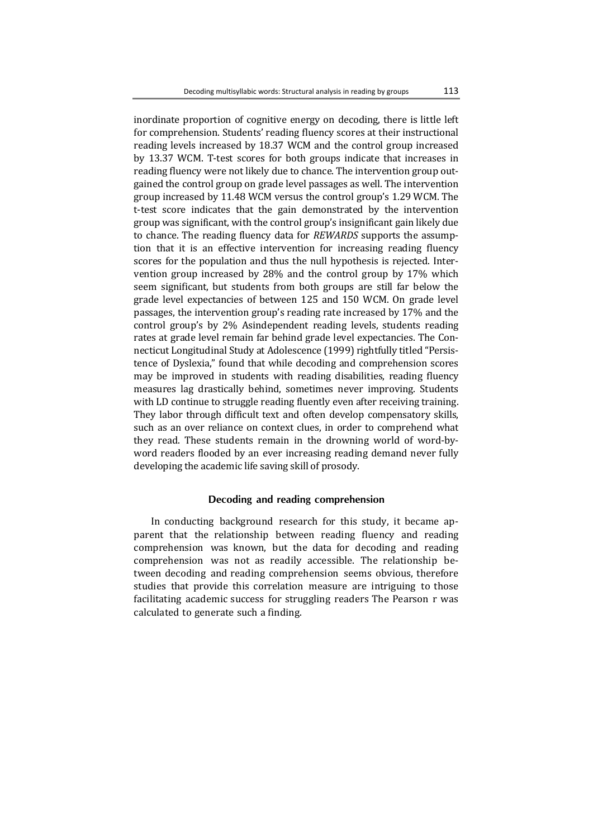inordinate proportion of cognitive energy on decoding, there is little left for comprehension. Students' reading fluency scores at their instructional reading levels increased by 18.37 WCM and the control group increased by 13.37 WCM. T-test scores for both groups indicate that increases in reading fluency were not likely due to chance. The intervention group outgained the control group on grade level passages as well. The intervention group increased by 11.48 WCM versus the control group's 1.29 WCM. The t-test score indicates that the gain demonstrated by the intervention group was significant, with the control group's insignificant gain likely due to chance. The reading fluency data for *REWARDS* supports the assumption that it is an effective intervention for increasing reading fluency scores for the population and thus the null hypothesis is rejected. Intervention group increased by  $28\%$  and the control group by  $17\%$  which seem significant, but students from both groups are still far below the grade level expectancies of between 125 and 150 WCM. On grade level passages, the intervention group's reading rate increased by 17% and the control group's by 2% Asindependent reading levels, students reading rates at grade level remain far behind grade level expectancies. The Connecticut Longitudinal Study at Adolescence (1999) rightfully titled "Persistence of Dyslexia," found that while decoding and comprehension scores may be improved in students with reading disabilities, reading fluency measures lag drastically behind, sometimes never improving. Students with LD continue to struggle reading fluently even after receiving training. They labor through difficult text and often develop compensatory skills, such as an over reliance on context clues, in order to comprehend what they read. These students remain in the drowning world of word-byword readers flooded by an ever increasing reading demand never fully developing the academic life saving skill of prosody.

## **Decoding and reading comprehension**

In conducting background research for this study, it became apparent that the relationship between reading fluency and reading comprehension was known, but the data for decoding and reading comprehension was not as readily accessible. The relationship between decoding and reading comprehension seems obvious, therefore studies that provide this correlation measure are intriguing to those facilitating academic success for struggling readers The Pearson r was calculated to generate such a finding.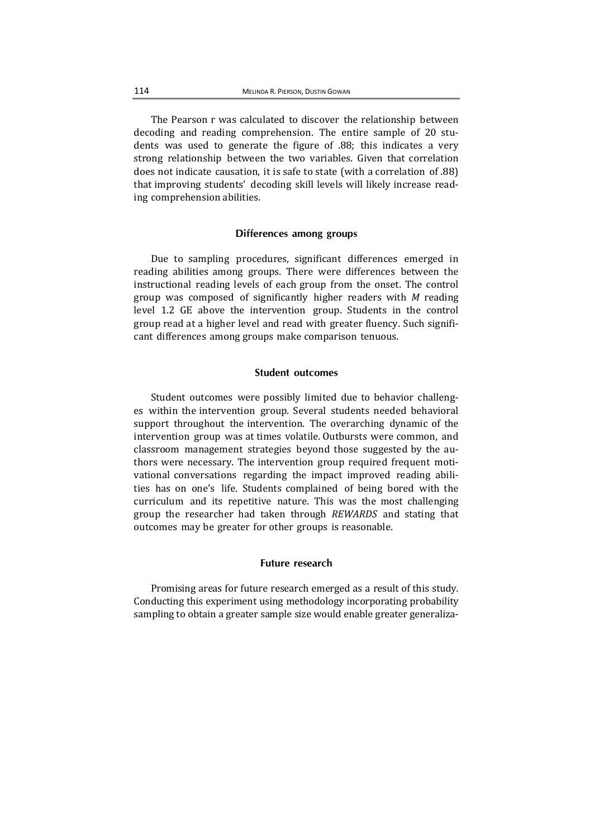The Pearson r was calculated to discover the relationship between decoding and reading comprehension. The entire sample of 20 students was used to generate the figure of .88; this indicates a very strong relationship between the two variables. Given that correlation does not indicate causation, it is safe to state (with a correlation of .88) that improving students' decoding skill levels will likely increase reading comprehension abilities.

#### **Differences among groups**

Due to sampling procedures, significant differences emerged in reading abilities among groups. There were differences between the instructional reading levels of each group from the onset. The control group was composed of significantly higher readers with *M* reading level 1.2 GE above the intervention group. Students in the control group read at a higher level and read with greater fluency. Such significant differences among groups make comparison tenuous.

#### **Student outcomes**

Student outcomes were possibly limited due to behavior challenges within the intervention group. Several students needed behavioral support throughout the intervention. The overarching dynamic of the intervention group was at times volatile. Outbursts were common, and classroom management strategies beyond those suggested by the authors were necessary. The intervention group required frequent motivational conversations regarding the impact improved reading abilities has on one's life. Students complained of being bored with the curriculum and its repetitive nature. This was the most challenging group the researcher had taken through *REWARDS* and stating that outcomes may be greater for other groups is reasonable.

## **Future research**

Promising areas for future research emerged as a result of this study. Conducting this experiment using methodology incorporating probability sampling to obtain a greater sample size would enable greater generaliza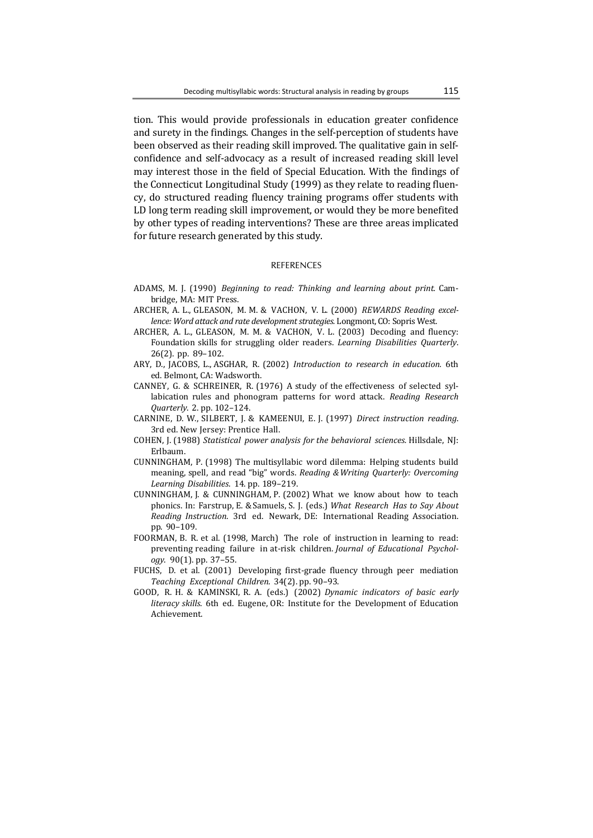tion. This would provide professionals in education greater confidence and surety in the findings. Changes in the self-perception of students have been observed as their reading skill improved. The qualitative gain in selfconfidence and self-advocacy as a result of increased reading skill level may interest those in the field of Special Education. With the findings of the Connecticut Longitudinal Study (1999) as they relate to reading fluency, do structured reading fluency training programs offer students with LD long term reading skill improvement, or would they be more benefited by other types of reading interventions? These are three areas implicated for future research generated by this study.

#### REFERENCES

- ADAMS, M. J. (1990) *Beginning to read: Thinking and learning about print.* Cam‐ bridge, MA: MIT Press.
- ARCHER, A. L., GLEASON, M. M. & VACHON, V. L. (2000) *REWARDS Reading excel lence: Word attack and rate development strategies. Longmont, CO: Sopris West.*
- ARCHER, A. L., GLEASON, M. M. & VACHON, V. L.  $(2003)$  Decoding and fluency: Foundation skills for struggling older readers. *Learning Disabilities Quarterly*. 26(2). pp. 89–102.
- ARY, D., JACOBS, L., ASGHAR, R. (2002) *Introduction to research in education.* 6th ed. Belmont, CA: Wadsworth.
- CANNEY, G. & SCHREINER, R. (1976) A study of the effectiveness of selected syllabication rules and phonogram patterns for word attack. *Reading Research Quarterly*. 2. pp. 102–124.
- CARNINE, D. W., SILBERT, J. & KAMEENUI, E. J. (1997) *Direct instruction reading*. 3rd ed. New Jersey: Prentice Hall.
- COHEN, J. (1988) *Statistical power analysis for the behavioral sciences.* Hillsdale, NJ: Erlbaum.
- CUNNINGHAM, P. (1998) The multisyllabic word dilemma: Helping students build meaning, spell, and read "big" words. *Reading &Writing Quarterly: Overcoming Learning Disabilities*. 14. pp. 189–219.
- CUNNINGHAM, J. & CUNNINGHAM, P. (2002) What we know about how to teach phonics. In: Farstrup, E. & Samuels, S. J. (eds.) *What Research Has to Say About Reading Instruction*. 3rd ed. Newark, DE: International Reading Association. pp. 90–109.
- FOORMAN, B. R. et al. (1998, March) The role of instruction in learning to read: preventing reading failure in at-risk children. *Journal of Educational Psychology*. 90(1). pp. 37–55.
- FUCHS, D. et al. (2001) Developing first-grade fluency through peer mediation *Teaching Exceptional Children*. 34(2). pp. 90–93.
- GOOD, R. H. & KAMINSKI, R. A. (eds.) (2002) *Dynamic indicators of basic early literacy skills*. 6th ed. Eugene, OR: Institute for the Development of Education Achievement.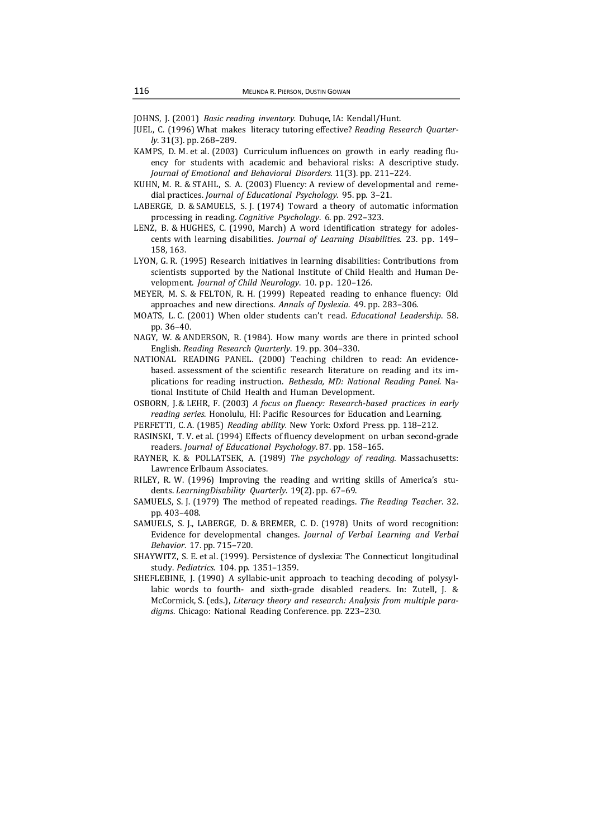JOHNS, J. (2001) *Basic reading inventory.* Dubuqe, IA: Kendall/Hunt.

- JUEL, C. (1996) What makes literacy tutoring effective? *Reading Research Quarterly*. 31(3). pp. 268–289.
- KAMPS, D. M. et al. (2003) Curriculum influences on growth in early reading fluency for students with academic and behavioral risks: A descriptive study. *Journal of Emotional and Behavioral Disorders.* 11(3). pp. 211–224.
- KUHN, M. R. & STAHL, S. A. (2003) Fluency: A review of developmental and remedial practices. *Journal of Educational Psychology*. 95. pp. 3–21.
- LABERGE, D. & SAMUELS, S. J. (1974) Toward a theory of automatic information processing in reading. *Cognitive Psychology*. 6. pp. 292–323.
- LENZ, B. & HUGHES, C.  $(1990, \text{ March})$  A word identification strategy for adolescents with learning disabilities. *Journal of Learning Disabilities*. 23. pp. 149– 158, 163.
- LYON, G. R. (1995) Research initiatives in learning disabilities: Contributions from scientists supported by the National Institute of Child Health and Human Development. *Journal of Child Neurology*. 10. pp. 120–126.
- MEYER, M. S. & FELTON, R. H. (1999) Repeated reading to enhance fluency: Old approaches and new directions. *Annals of Dyslexia*. 49. pp. 283–306.
- MOATS, L. C. (2001) When older students can't read. *Educational Leadership*. 58. pp. 36–40.
- NAGY, W. & ANDERSON, R. (1984). How many words are there in printed school English. *Reading Research Quarterly*. 19. pp. 304–330.
- NATIONAL READING PANEL. (2000) Teaching children to read: An evidencebased, assessment of the scientific research literature on reading and its implications for reading instruction. *Bethesda, MD: National Reading Panel.* Na‐ tional Institute of Child Health and Human Development.
- OSBORN, J. & LEHR, F. (2003) *A focus on fluency: Research‐based practices in early reading series*. Honolulu, HI: Pacific Resources for Education and Learning.
- PERFETTI, C. A. (1985) *Reading ability.* New York: Oxford Press. pp. 118-212.
- RASINSKI, T. V. et al. (1994) Effects of fluency development on urban second-grade readers. *Journal of Educational Psychology*. 87. pp. 158–165.
- RAYNER, K. & POLLATSEK, A. (1989) The *psychology of reading*. Massachusetts: Lawrence Erlbaum Associates.
- RILEY, R. W.  $(1996)$  Improving the reading and writing skills of America's students. *LearningDisability Quarterly*. 19(2). pp. 67–69.
- SAMUELS, S. J. (1979) The method of repeated readings. *The Reading Teacher*. 32. pp. 403–408.
- SAMUELS, S. J., LABERGE, D. & BREMER, C. D. (1978) Units of word recognition: Evidence for developmental changes. *Journal of Verbal Learning and Verbal Behavior*. 17. pp. 715–720.
- SHAYWITZ, S. E. et al. (1999). Persistence of dyslexia: The Connecticut longitudinal study. *Pediatrics*. 104. pp. 1351–1359.
- SHEFLEBINE, J.  $(1990)$  A syllabic-unit approach to teaching decoding of polysyllabic words to fourth- and sixth-grade disabled readers. In: Zutell, J. & McCormick, S. (eds.), *Literacy theory and research: Analysis from multiple para‐* digms. Chicago: National Reading Conference. pp. 223-230.